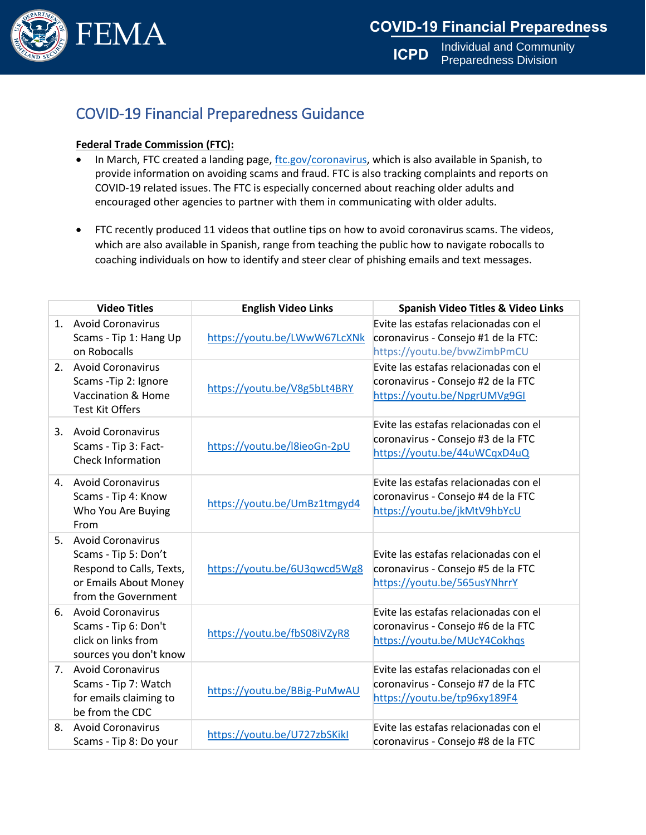

**ICPD** Individual and Community Preparedness Division

## COVID-19 Financial Preparedness Guidance

## **Federal Trade Commission (FTC):**

- In March, FTC created a landing page[, ftc.gov/coronavirus,](file:///C:/Users/nabdulsa/AppData/Local/Microsoft/Windows/INetCache/Content.Outlook/15B0L4F3/ftc.gov/coronavirus) which is also available in Spanish, to provide information on avoiding scams and fraud. FTC is also tracking complaints and reports on COVID-19 related issues. The FTC is especially concerned about reaching older adults and encouraged other agencies to partner with them in communicating with older adults.
- FTC recently produced 11 videos that outline tips on how to avoid coronavirus scams. The videos, which are also available in Spanish, range from teaching the public how to navigate robocalls to coaching individuals on how to identify and steer clear of phishing emails and text messages.

|    | <b>Video Titles</b>                                                                                                          | <b>English Video Links</b>   | <b>Spanish Video Titles &amp; Video Links</b>                                                                |
|----|------------------------------------------------------------------------------------------------------------------------------|------------------------------|--------------------------------------------------------------------------------------------------------------|
|    | 1. Avoid Coronavirus<br>Scams - Tip 1: Hang Up<br>on Robocalls                                                               | https://youtu.be/LWwW67LcXNk | Evite las estafas relacionadas con el<br>coronavirus - Consejo #1 de la FTC:<br>https://youtu.be/bvwZimbPmCU |
|    | 2. Avoid Coronavirus<br>Scams - Tip 2: Ignore<br>Vaccination & Home<br><b>Test Kit Offers</b>                                | https://youtu.be/V8g5bLt4BRY | Evite las estafas relacionadas con el<br>coronavirus - Consejo #2 de la FTC<br>https://youtu.be/NpgrUMVg9GI  |
|    | 3. Avoid Coronavirus<br>Scams - Tip 3: Fact-<br><b>Check Information</b>                                                     | https://youtu.be/l8ieoGn-2pU | Evite las estafas relacionadas con el<br>coronavirus - Consejo #3 de la FTC<br>https://youtu.be/44uWCqxD4uQ  |
|    | 4. Avoid Coronavirus<br>Scams - Tip 4: Know<br>Who You Are Buying<br>From                                                    | https://youtu.be/UmBz1tmgyd4 | Evite las estafas relacionadas con el<br>coronavirus - Consejo #4 de la FTC<br>https://youtu.be/jkMtV9hbYcU  |
| 5. | <b>Avoid Coronavirus</b><br>Scams - Tip 5: Don't<br>Respond to Calls, Texts,<br>or Emails About Money<br>from the Government | https://youtu.be/6U3qwcd5Wg8 | Evite las estafas relacionadas con el<br>coronavirus - Consejo #5 de la FTC<br>https://youtu.be/565usYNhrrY  |
|    | 6. Avoid Coronavirus<br>Scams - Tip 6: Don't<br>click on links from<br>sources you don't know                                | https://youtu.be/fbS08iVZyR8 | Evite las estafas relacionadas con el<br>coronavirus - Consejo #6 de la FTC<br>https://youtu.be/MUcY4Cokhqs  |
|    | 7. Avoid Coronavirus<br>Scams - Tip 7: Watch<br>for emails claiming to<br>be from the CDC                                    | https://youtu.be/BBig-PuMwAU | Evite las estafas relacionadas con el<br>coronavirus - Consejo #7 de la FTC<br>https://youtu.be/tp96xy189F4  |
| 8. | <b>Avoid Coronavirus</b><br>Scams - Tip 8: Do your                                                                           | https://youtu.be/U727zbSKikl | Evite las estafas relacionadas con el<br>coronavirus - Consejo #8 de la FTC                                  |